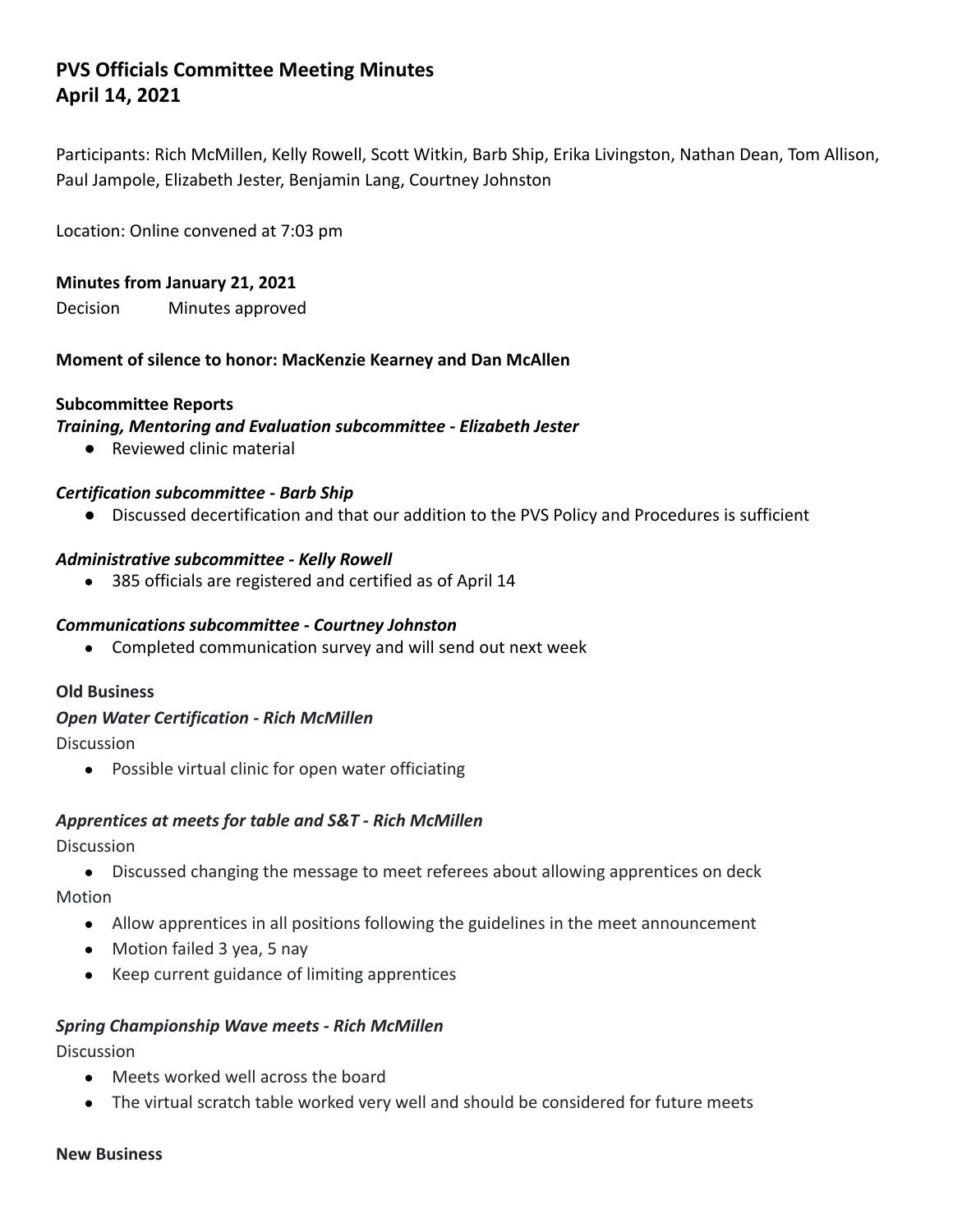# **PVS Officials Committee Meeting Minutes April 14, 2021**

Participants: Rich McMillen, Kelly Rowell, Scott Witkin, Barb Ship, Erika Livingston, Nathan Dean, Tom Allison, Paul Jampole, Elizabeth Jester, Benjamin Lang, Courtney Johnston

Location: Online convened at 7:03 pm

#### **Minutes from January 21, 2021**

Decision Minutes approved

#### **Moment of silence to honor: MacKenzie Kearney and Dan McAllen**

#### **Subcommittee Reports**

#### *Training, Mentoring and Evaluation subcommittee - Elizabeth Jester*

● Reviewed clinic material

#### *Certification subcommittee - Barb Ship*

● Discussed decertification and that our addition to the PVS Policy and Procedures is sufficient

#### *Administrative subcommittee - Kelly Rowell*

● 385 officials are registered and certified as of April 14

#### *Communications subcommittee - Courtney Johnston*

● Completed communication survey and will send out next week

#### **Old Business**

#### *Open Water Certification - Rich McMillen*

Discussion

● Possible virtual clinic for open water officiating

#### *Apprentices at meets for table and S&T - Rich McMillen*

Discussion

- Discussed changing the message to meet referees about allowing apprentices on deck Motion
	- Allow apprentices in all positions following the guidelines in the meet announcement
	- Motion failed 3 yea, 5 nay
	- Keep current guidance of limiting apprentices

#### *Spring Championship Wave meets - Rich McMillen*

Discussion

- Meets worked well across the board
- The virtual scratch table worked very well and should be considered for future meets

#### **New Business**